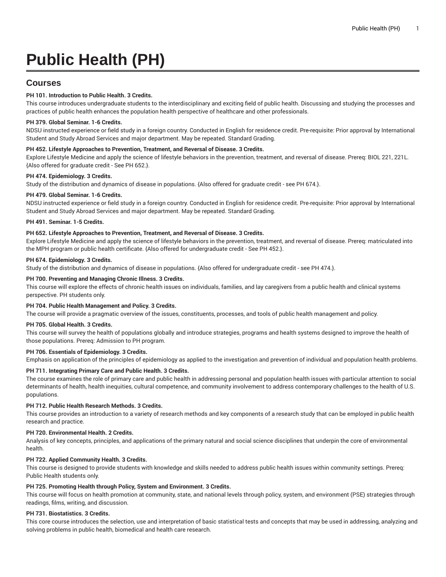# **Public Health (PH)**

# **Courses**

# **PH 101. Introduction to Public Health. 3 Credits.**

This course introduces undergraduate students to the interdisciplinary and exciting field of public health. Discussing and studying the processes and practices of public health enhances the population health perspective of healthcare and other professionals.

# **PH 379. Global Seminar. 1-6 Credits.**

NDSU instructed experience or field study in a foreign country. Conducted in English for residence credit. Pre-requisite: Prior approval by International Student and Study Abroad Services and major department. May be repeated. Standard Grading.

# **PH 452. Lifestyle Approaches to Prevention, Treatment, and Reversal of Disease. 3 Credits.**

Explore Lifestyle Medicine and apply the science of lifestyle behaviors in the prevention, treatment, and reversal of disease. Prereq: BIOL 221, 221L. {Also offered for graduate credit - See PH 652.}.

# **PH 474. Epidemiology. 3 Credits.**

Study of the distribution and dynamics of disease in populations. {Also offered for graduate credit - see PH 674.}.

# **PH 479. Global Seminar. 1-6 Credits.**

NDSU instructed experience or field study in a foreign country. Conducted in English for residence credit. Pre-requisite: Prior approval by International Student and Study Abroad Services and major department. May be repeated. Standard Grading.

#### **PH 491. Seminar. 1-5 Credits.**

# **PH 652. Lifestyle Approaches to Prevention, Treatment, and Reversal of Disease. 3 Credits.**

Explore Lifestyle Medicine and apply the science of lifestyle behaviors in the prevention, treatment, and reversal of disease. Prereq: matriculated into the MPH program or public health certificate. {Also offered for undergraduate credit - See PH 452.}.

#### **PH 674. Epidemiology. 3 Credits.**

Study of the distribution and dynamics of disease in populations. {Also offered for undergraduate credit - see PH 474.}.

# **PH 700. Preventing and Managing Chronic Illness. 3 Credits.**

This course will explore the effects of chronic health issues on individuals, families, and lay caregivers from a public health and clinical systems perspective. PH students only.

#### **PH 704. Public Health Management and Policy. 3 Credits.**

The course will provide a pragmatic overview of the issues, constituents, processes, and tools of public health management and policy.

#### **PH 705. Global Health. 3 Credits.**

This course will survey the health of populations globally and introduce strategies, programs and health systems designed to improve the health of those populations. Prereq: Admission to PH program.

# **PH 706. Essentials of Epidemiology. 3 Credits.**

Emphasis on application of the principles of epidemiology as applied to the investigation and prevention of individual and population health problems.

# **PH 711. Integrating Primary Care and Public Health. 3 Credits.**

The course examines the role of primary care and public health in addressing personal and population health issues with particular attention to social determinants of health, health inequities, cultural competence, and community involvement to address contemporary challenges to the health of U.S. populations.

# **PH 712. Public Health Research Methods. 3 Credits.**

This course provides an introduction to a variety of research methods and key components of a research study that can be employed in public health research and practice.

### **PH 720. Environmental Health. 2 Credits.**

Analysis of key concepts, principles, and applications of the primary natural and social science disciplines that underpin the core of environmental health.

# **PH 722. Applied Community Health. 3 Credits.**

This course is designed to provide students with knowledge and skills needed to address public health issues within community settings. Prereq: Public Health students only.

#### **PH 725. Promoting Health through Policy, System and Environment. 3 Credits.**

This course will focus on health promotion at community, state, and national levels through policy, system, and environment (PSE) strategies through readings, films, writing, and discussion.

### **PH 731. Biostatistics. 3 Credits.**

This core course introduces the selection, use and interpretation of basic statistical tests and concepts that may be used in addressing, analyzing and solving problems in public health, biomedical and health care research.